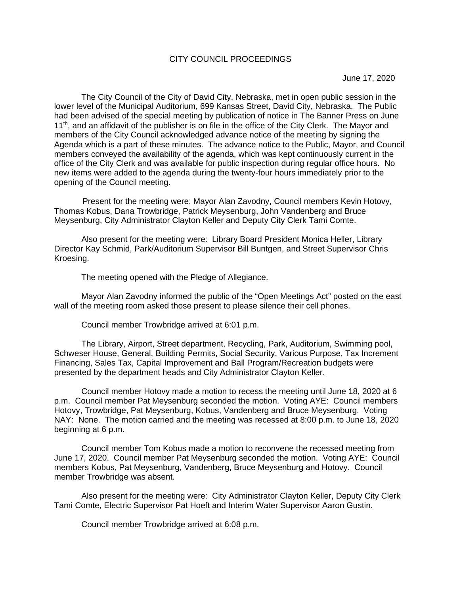## CITY COUNCIL PROCEEDINGS

June 17, 2020

The City Council of the City of David City, Nebraska, met in open public session in the lower level of the Municipal Auditorium, 699 Kansas Street, David City, Nebraska. The Public had been advised of the special meeting by publication of notice in The Banner Press on June 11<sup>th</sup>, and an affidavit of the publisher is on file in the office of the City Clerk. The Mayor and members of the City Council acknowledged advance notice of the meeting by signing the Agenda which is a part of these minutes. The advance notice to the Public, Mayor, and Council members conveyed the availability of the agenda, which was kept continuously current in the office of the City Clerk and was available for public inspection during regular office hours. No new items were added to the agenda during the twenty-four hours immediately prior to the opening of the Council meeting.

Present for the meeting were: Mayor Alan Zavodny, Council members Kevin Hotovy, Thomas Kobus, Dana Trowbridge, Patrick Meysenburg, John Vandenberg and Bruce Meysenburg, City Administrator Clayton Keller and Deputy City Clerk Tami Comte.

Also present for the meeting were: Library Board President Monica Heller, Library Director Kay Schmid, Park/Auditorium Supervisor Bill Buntgen, and Street Supervisor Chris Kroesing.

The meeting opened with the Pledge of Allegiance.

Mayor Alan Zavodny informed the public of the "Open Meetings Act" posted on the east wall of the meeting room asked those present to please silence their cell phones.

Council member Trowbridge arrived at 6:01 p.m.

The Library, Airport, Street department, Recycling, Park, Auditorium, Swimming pool, Schweser House, General, Building Permits, Social Security, Various Purpose, Tax Increment Financing, Sales Tax, Capital Improvement and Ball Program/Recreation budgets were presented by the department heads and City Administrator Clayton Keller.

Council member Hotovy made a motion to recess the meeting until June 18, 2020 at 6 p.m. Council member Pat Meysenburg seconded the motion. Voting AYE: Council members Hotovy, Trowbridge, Pat Meysenburg, Kobus, Vandenberg and Bruce Meysenburg. Voting NAY: None. The motion carried and the meeting was recessed at 8:00 p.m. to June 18, 2020 beginning at 6 p.m.

Council member Tom Kobus made a motion to reconvene the recessed meeting from June 17, 2020. Council member Pat Meysenburg seconded the motion. Voting AYE: Council members Kobus, Pat Meysenburg, Vandenberg, Bruce Meysenburg and Hotovy. Council member Trowbridge was absent.

Also present for the meeting were: City Administrator Clayton Keller, Deputy City Clerk Tami Comte, Electric Supervisor Pat Hoeft and Interim Water Supervisor Aaron Gustin.

Council member Trowbridge arrived at 6:08 p.m.